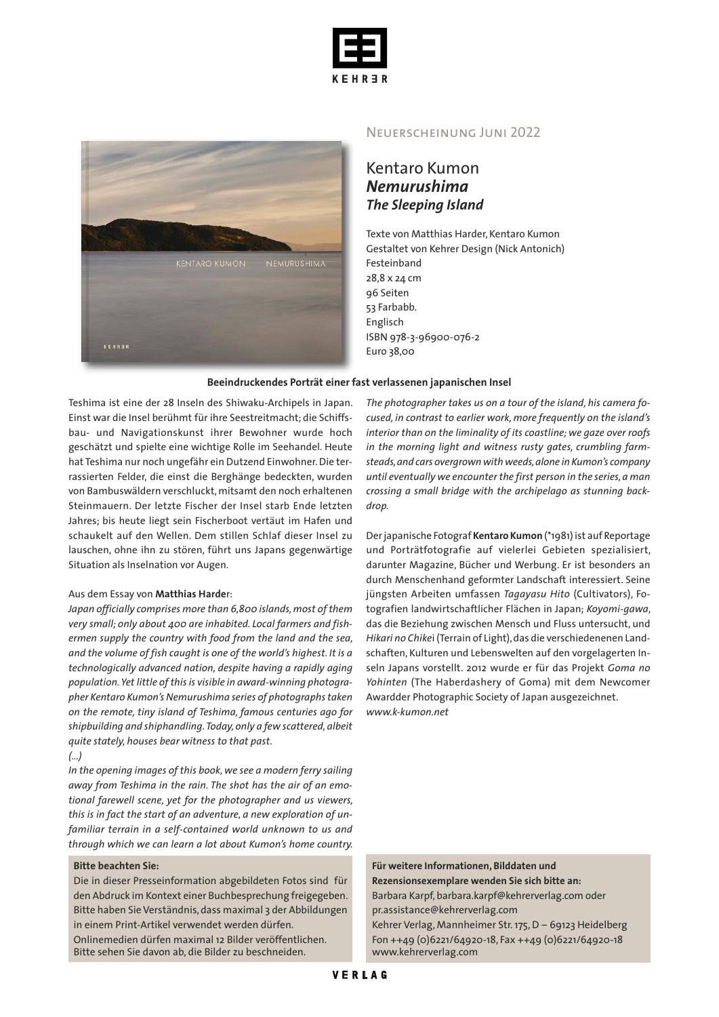



#### Neuerscheinung Juni 2022

## Kentaro Kumon *Nemurushima The Sleeping Island*

Texte von Matthias Harder, Kentaro Kumon Gestaltet von Kehrer Design (Nick Antonich) Festeinband 28,8 x 24 cm 96 Seiten 53 Farbabb. Englisch ISBN 978-3-96900-076-2 Euro 38,00

#### **Beeindruckendes Porträt einer fast verlassenen japanischen Insel**

Teshima ist eine der 28 Inseln des Shiwaku-Archipels in Japan. Einst war die Insel berühmt für ihre Seestreitmacht; die Schiffsbau- und Navigationskunst ihrer Bewohner wurde hoch geschätzt und spielte eine wichtige Rolle im Seehandel. Heute hat Teshima nur noch ungefähr ein Dutzend Einwohner.Die terrassierten Felder, die einst die Berghänge bedeckten, wurden von Bambuswäldern verschluckt, mitsamt den noch erhaltenen Steinmauern. Der letzte Fischer der Insel starb Ende letzten Jahres; bis heute liegt sein Fischerboot vertäut im Hafen und schaukelt auf den Wellen. Dem stillen Schlaf dieser Insel zu lauschen, ohne ihn zu stören, führt uns Japans gegenwärtige Situation als Inselnation vor Augen.

#### Aus dem Essay von **Matthias Harde**r:

*Japan officially comprises more than 6,800 islands,most of them very small; only about 400 are inhabited. Local farmers and fishermen supply the country with food from the land and the sea, and the volume of fish caught is one of the world's highest. It is a technologically advanced nation, despite having a rapidly aging population.Yet little of thisis visible in award-winning photographer Kentaro Kumon's Nemurushima series of photographstaken on the remote, tiny island of Teshima, famous centuries ago for shipbuilding and shiphandling.Today, only a few scattered, albeit quite stately, houses bear witness to that past.*

#### *(...)*

*In the opening images of this book, we see a modern ferry sailing away from Teshima in the rain. The shot has the air of an emotional farewell scene, yet for the photographer and us viewers, this is in fact the start of an adventure, a new exploration of unfamiliar terrain in a self-contained world unknown to us and through which we can learn a lot about Kumon's home country.*

#### **Bitte beachten Sie:**

Die in dieser Presseinformation abgebildeten Fotos sind für den Abdruck im Kontext einer Buchbesprechung freigegeben. Bitte haben Sie Verständnis, dass maximal 3 der Abbildungen in einem Print-Artikel verwendet werden dürfen.

Onlinemedien dürfen maximal 12 Bilder veröffentlichen. Bitte sehen Sie davon ab, die Bilder zu beschneiden.

*The photographer takes us on a tour of the island, his camera focused, in contrast to earlier work, more frequently on the island's interior than on the liminality of its coastline; we gaze over roofs in the morning light and witness rusty gates, crumbling farmsteads,and cars overgrownwithweeds,alone in Kumon's company until eventually we encounter the first person in the series, a man crossing a small bridge with the archipelago as stunning backdrop.*

Derjapanische Fotograf **Kentaro Kumon** (\*1981) ist auf Reportage und Porträtfotografie auf vielerlei Gebieten spezialisiert, darunter Magazine, Bücher und Werbung. Er ist besonders an durch Menschenhand geformter Landschaft interessiert. Seine jüngsten Arbeiten umfassen *Tagayasu Hito* (Cultivators), Fotografien landwirtschaftlicher Flächen in Japan; *Koyomi-gawa*, das die Beziehung zwischen Mensch und Fluss untersucht, und *Hikari no Chike*i (Terrain of Light),das die verschiedenenen Landschaften, Kulturen und Lebenswelten auf den vorgelagerten Inseln Japans vorstellt. 2012 wurde er für das Projekt *Goma no Yohinten* (The Haberdashery of Goma) mit dem Newcomer Awardder Photographic Society of Japan ausgezeichnet. *www.k-kumon.net*

**Für weitere Informationen, Bilddaten und Rezensionsexemplare wenden Sie sich bitte an:** Barbara Karpf, barbara.karpf@kehrerverlag.com oder pr.assistance@kehrerverlag.com

Kehrer Verlag, Mannheimer Str.175,D – 69123 Heidelberg Fon ++49 (0)6221/64920-18, Fax ++49 (0)6221/64920-18 www.kehrerverlag.com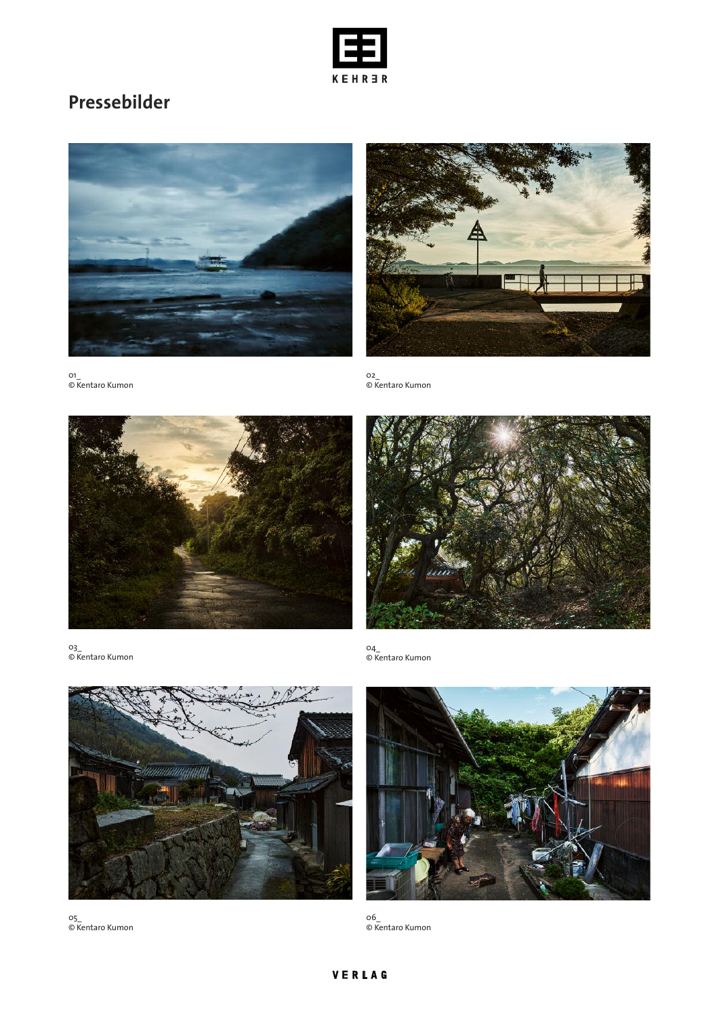

# **Pressebilder**





02\_ © Kentaro Kumon





03\_ © Kentaro Kumon

01\_

© Kentaro Kumon



05\_ © Kentaro Kumon

04\_ © Kentaro Kumon



06\_ © Kentaro Kumon

### VERLAG